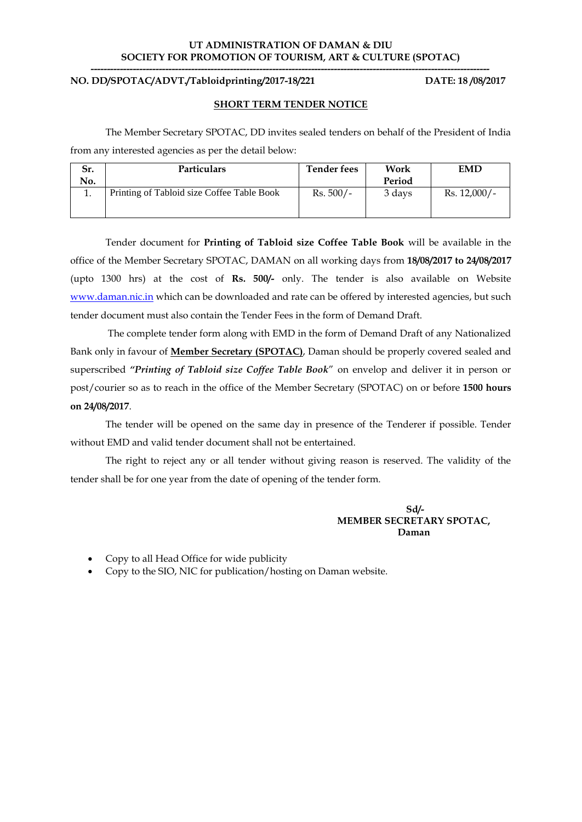#### **UT ADMINISTRATION OF DAMAN & DIU SOCIETY FOR PROMOTION OF TOURISM, ART & CULTURE (SPOTAC) ---------------------------------------------------------------------------------------------------------------------------**

### **NO. DD/SPOTAC/ADVT./Tabloidprinting/2017-18/221 DATE: 18 /08/2017**

#### **SHORT TERM TENDER NOTICE**

The Member Secretary SPOTAC, DD invites sealed tenders on behalf of the President of India from any interested agencies as per the detail below:

| Sr. | <b>Particulars</b>                         | <b>Tender fees</b> | Work   | <b>EMD</b>     |
|-----|--------------------------------------------|--------------------|--------|----------------|
| No. |                                            |                    | Period |                |
|     | Printing of Tabloid size Coffee Table Book | $Rs. 500/-$        | 3 days | $Rs. 12,000/-$ |

Tender document for **Printing of Tabloid size Coffee Table Book** will be available in the office of the Member Secretary SPOTAC, DAMAN on all working days from **18/08/2017 to 24/08/2017** (upto 1300 hrs) at the cost of **Rs. 500/-** only. The tender is also available on Website [www.daman.nic.in](http://www.daman.nic.in/) which can be downloaded and rate can be offered by interested agencies, but such tender document must also contain the Tender Fees in the form of Demand Draft.

The complete tender form along with EMD in the form of Demand Draft of any Nationalized Bank only in favour of **Member Secretary (SPOTAC)**, Daman should be properly covered sealed and superscribed *"Printing of Tabloid size Coffee Table Book*" on envelop and deliver it in person or post/courier so as to reach in the office of the Member Secretary (SPOTAC) on or before **1500 hours on 24/08/2017**.

The tender will be opened on the same day in presence of the Tenderer if possible. Tender without EMD and valid tender document shall not be entertained.

The right to reject any or all tender without giving reason is reserved. The validity of the tender shall be for one year from the date of opening of the tender form.

### **Sd/- MEMBER SECRETARY SPOTAC, Daman**

- Copy to all Head Office for wide publicity
- Copy to the SIO, NIC for publication/hosting on Daman website.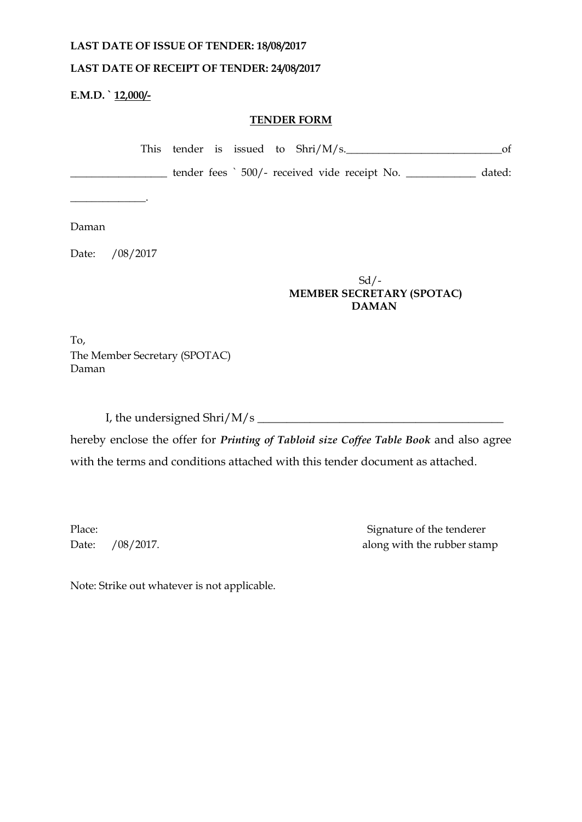# **LAST DATE OF ISSUE OF TENDER: 18/08/2017**

# **LAST DATE OF RECEIPT OF TENDER: 24/08/2017**

**E.M.D. ` 12,000/-**

# **TENDER FORM**

|  |  | This tender is issued to $\text{Shri}/\text{M/s}$ . | of     |
|--|--|-----------------------------------------------------|--------|
|  |  | tender fees ` 500/- received vide receipt No.       | dated: |
|  |  |                                                     |        |
|  |  |                                                     |        |

Daman

Date: /08/2017

# Sd/-  **MEMBER SECRETARY (SPOTAC) DAMAN**

To, The Member Secretary (SPOTAC) Daman

I, the undersigned Shri/M/s \_\_\_\_\_\_\_\_\_\_\_\_\_\_\_\_\_\_\_\_\_\_\_\_\_\_\_\_\_\_\_\_\_\_\_\_\_\_\_\_\_\_

hereby enclose the offer for *Printing of Tabloid size Coffee Table Book* and also agree with the terms and conditions attached with this tender document as attached.

Place: Signature of the tenderer Date: /08/2017. along with the rubber stamp

Note: Strike out whatever is not applicable.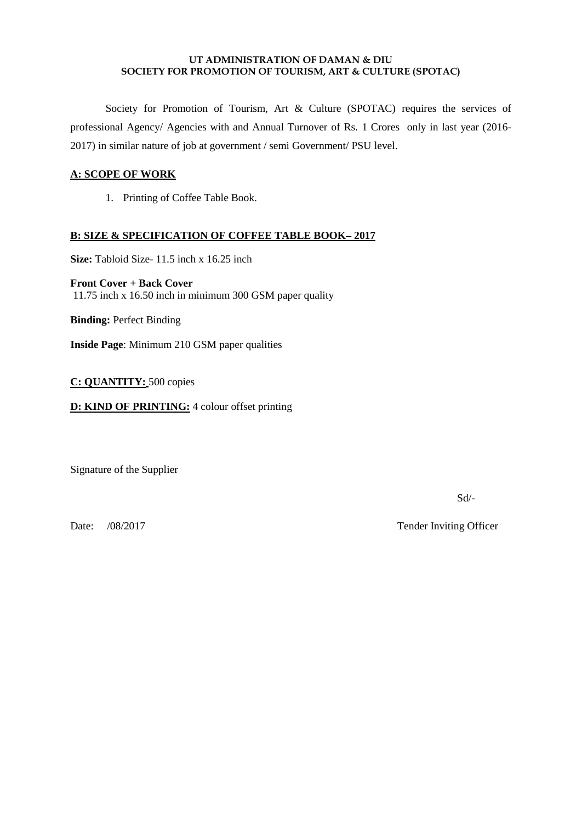### **UT ADMINISTRATION OF DAMAN & DIU SOCIETY FOR PROMOTION OF TOURISM, ART & CULTURE (SPOTAC)**

Society for Promotion of Tourism, Art & Culture (SPOTAC) requires the services of professional Agency/ Agencies with and Annual Turnover of Rs. 1 Crores only in last year (2016- 2017) in similar nature of job at government / semi Government/ PSU level.

## **A: SCOPE OF WORK**

1. Printing of Coffee Table Book.

# **B: SIZE & SPECIFICATION OF COFFEE TABLE BOOK– 2017**

**Size:** Tabloid Size- 11.5 inch x 16.25 inch

**Front Cover + Back Cover**  11.75 inch x 16.50 inch in minimum 300 GSM paper quality

**Binding:** Perfect Binding

**Inside Page**: Minimum 210 GSM paper qualities

**C: QUANTITY:** 500 copies

**D: KIND OF PRINTING:** 4 colour offset printing

Signature of the Supplier

Sd/-

Date: /08/2017 Tender Inviting Officer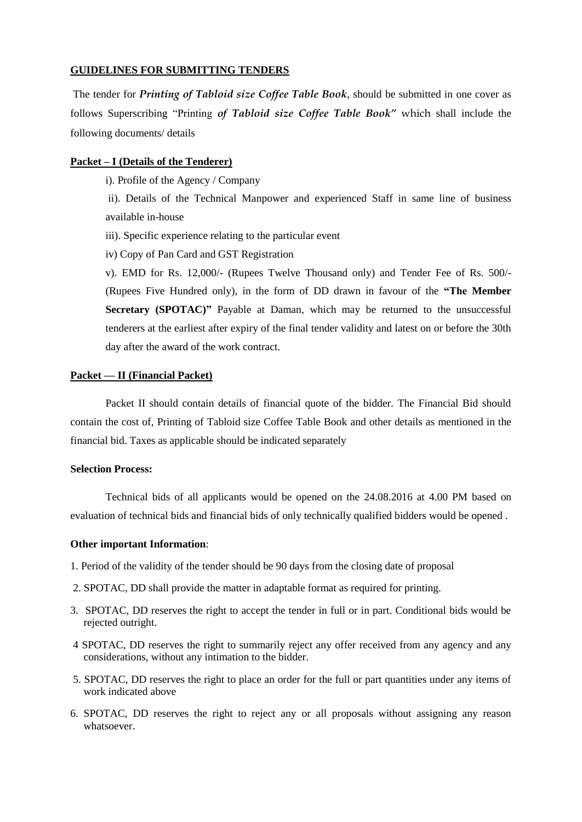### **GUIDELINES FOR SUBMITTING TENDERS**

The tender for *Printing of Tabloid size Coffee Table Book*, should be submitted in one cover as follows Superscribing "Printing *of Tabloid size Coffee Table Book"* which shall include the following documents/ details

#### **Packet – I (Details of the Tenderer)**

i). Profile of the Agency / Company

ii). Details of the Technical Manpower and experienced Staff in same line of business available in-house

iii). Specific experience relating to the particular event

iv) Copy of Pan Card and GST Registration

v). EMD for Rs. 12,000/- (Rupees Twelve Thousand only) and Tender Fee of Rs. 500/- (Rupees Five Hundred only), in the form of DD drawn in favour of the **"The Member Secretary (SPOTAC)"** Payable at Daman, which may be returned to the unsuccessful tenderers at the earliest after expiry of the final tender validity and latest on or before the 30th day after the award of the work contract.

#### **Packet — II (Financial Packet)**

Packet II should contain details of financial quote of the bidder. The Financial Bid should contain the cost of, Printing of Tabloid size Coffee Table Book and other details as mentioned in the financial bid. Taxes as applicable should be indicated separately

### **Selection Process:**

Technical bids of all applicants would be opened on the 24.08.2016 at 4.00 PM based on evaluation of technical bids and financial bids of only technically qualified bidders would be opened .

#### **Other important Information**:

- 1. Period of the validity of the tender should be 90 days from the closing date of proposal
- 2. SPOTAC, DD shall provide the matter in adaptable format as required for printing.
- 3. SPOTAC, DD reserves the right to accept the tender in full or in part. Conditional bids would be rejected outright.
- 4 SPOTAC, DD reserves the right to summarily reject any offer received from any agency and any considerations, without any intimation to the bidder.
- 5. SPOTAC, DD reserves the right to place an order for the full or part quantities under any items of work indicated above
- 6. SPOTAC, DD reserves the right to reject any or all proposals without assigning any reason whatsoever.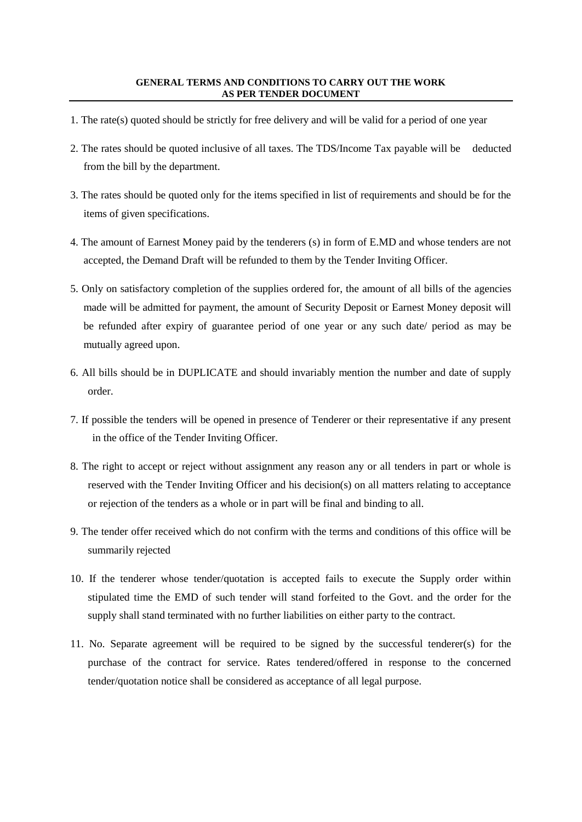- 1. The rate(s) quoted should be strictly for free delivery and will be valid for a period of one year
- 2. The rates should be quoted inclusive of all taxes. The TDS/Income Tax payable will be deducted from the bill by the department.
- 3. The rates should be quoted only for the items specified in list of requirements and should be for the items of given specifications.
- 4. The amount of Earnest Money paid by the tenderers (s) in form of E.MD and whose tenders are not accepted, the Demand Draft will be refunded to them by the Tender Inviting Officer.
- 5. Only on satisfactory completion of the supplies ordered for, the amount of all bills of the agencies made will be admitted for payment, the amount of Security Deposit or Earnest Money deposit will be refunded after expiry of guarantee period of one year or any such date/ period as may be mutually agreed upon.
- 6. All bills should be in DUPLICATE and should invariably mention the number and date of supply order.
- 7. If possible the tenders will be opened in presence of Tenderer or their representative if any present in the office of the Tender Inviting Officer.
- 8. The right to accept or reject without assignment any reason any or all tenders in part or whole is reserved with the Tender Inviting Officer and his decision(s) on all matters relating to acceptance or rejection of the tenders as a whole or in part will be final and binding to all.
- 9. The tender offer received which do not confirm with the terms and conditions of this office will be summarily rejected
- 10. If the tenderer whose tender/quotation is accepted fails to execute the Supply order within stipulated time the EMD of such tender will stand forfeited to the Govt. and the order for the supply shall stand terminated with no further liabilities on either party to the contract.
- 11. No. Separate agreement will be required to be signed by the successful tenderer(s) for the purchase of the contract for service. Rates tendered/offered in response to the concerned tender/quotation notice shall be considered as acceptance of all legal purpose.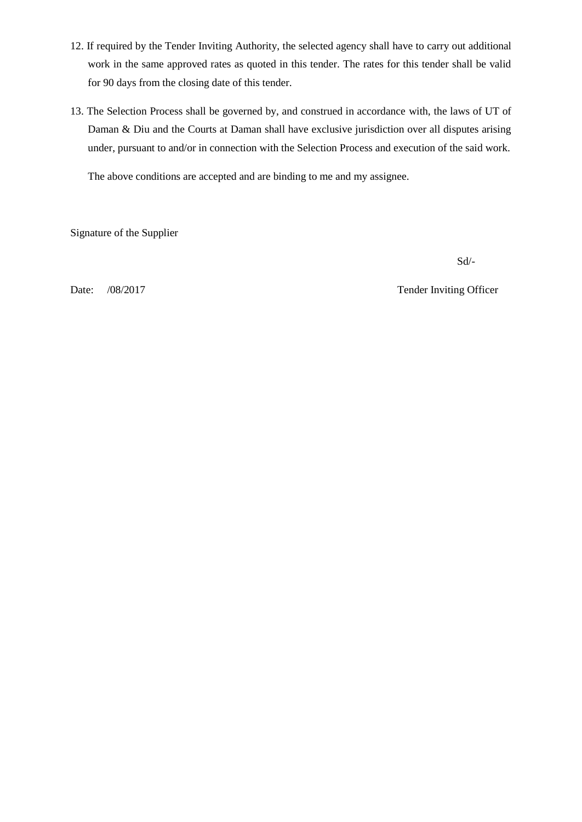- 12. If required by the Tender Inviting Authority, the selected agency shall have to carry out additional work in the same approved rates as quoted in this tender. The rates for this tender shall be valid for 90 days from the closing date of this tender.
- 13. The Selection Process shall be governed by, and construed in accordance with, the laws of UT of Daman & Diu and the Courts at Daman shall have exclusive jurisdiction over all disputes arising under, pursuant to and/or in connection with the Selection Process and execution of the said work.

The above conditions are accepted and are binding to me and my assignee.

Signature of the Supplier

Sd/-

Date: /08/2017 Tender Inviting Officer